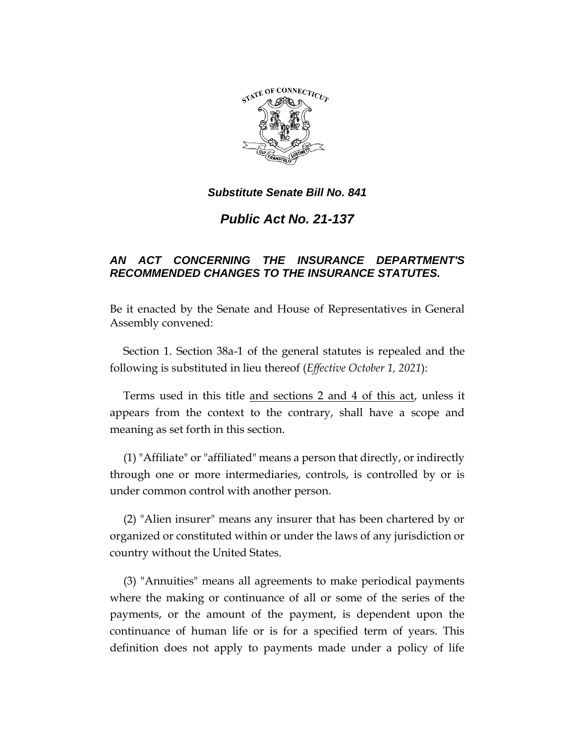

*Public Act No. 21-137*

# *AN ACT CONCERNING THE INSURANCE DEPARTMENT'S RECOMMENDED CHANGES TO THE INSURANCE STATUTES.*

Be it enacted by the Senate and House of Representatives in General Assembly convened:

Section 1. Section 38a-1 of the general statutes is repealed and the following is substituted in lieu thereof (*Effective October 1, 2021*):

Terms used in this title and sections 2 and 4 of this act, unless it appears from the context to the contrary, shall have a scope and meaning as set forth in this section.

(1) "Affiliate" or "affiliated" means a person that directly, or indirectly through one or more intermediaries, controls, is controlled by or is under common control with another person.

(2) "Alien insurer" means any insurer that has been chartered by or organized or constituted within or under the laws of any jurisdiction or country without the United States.

(3) "Annuities" means all agreements to make periodical payments where the making or continuance of all or some of the series of the payments, or the amount of the payment, is dependent upon the continuance of human life or is for a specified term of years. This definition does not apply to payments made under a policy of life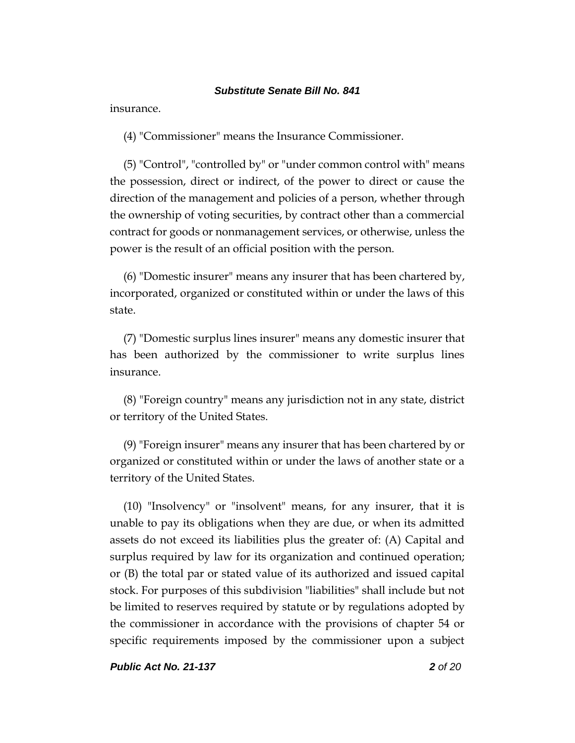insurance.

(4) "Commissioner" means the Insurance Commissioner.

(5) "Control", "controlled by" or "under common control with" means the possession, direct or indirect, of the power to direct or cause the direction of the management and policies of a person, whether through the ownership of voting securities, by contract other than a commercial contract for goods or nonmanagement services, or otherwise, unless the power is the result of an official position with the person.

(6) "Domestic insurer" means any insurer that has been chartered by, incorporated, organized or constituted within or under the laws of this state.

(7) "Domestic surplus lines insurer" means any domestic insurer that has been authorized by the commissioner to write surplus lines insurance.

(8) "Foreign country" means any jurisdiction not in any state, district or territory of the United States.

(9) "Foreign insurer" means any insurer that has been chartered by or organized or constituted within or under the laws of another state or a territory of the United States.

(10) "Insolvency" or "insolvent" means, for any insurer, that it is unable to pay its obligations when they are due, or when its admitted assets do not exceed its liabilities plus the greater of: (A) Capital and surplus required by law for its organization and continued operation; or (B) the total par or stated value of its authorized and issued capital stock. For purposes of this subdivision "liabilities" shall include but not be limited to reserves required by statute or by regulations adopted by the commissioner in accordance with the provisions of chapter 54 or specific requirements imposed by the commissioner upon a subject

*Public Act No. 21-137 2 of 20*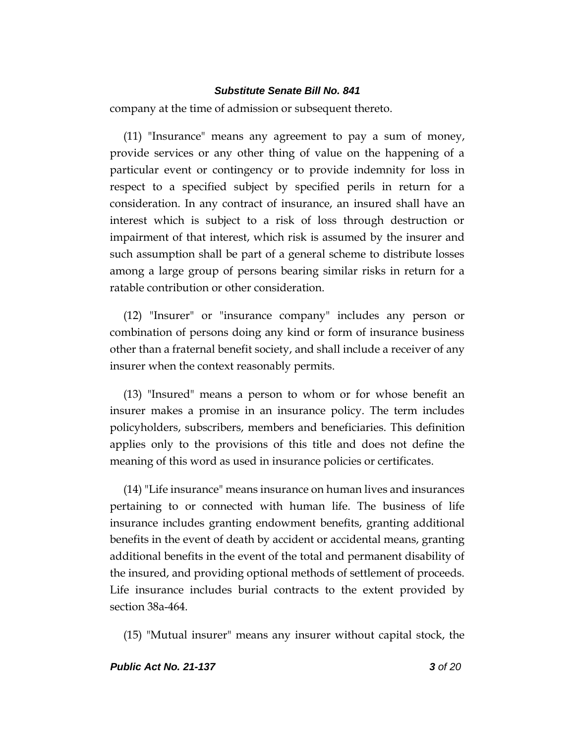company at the time of admission or subsequent thereto.

(11) "Insurance" means any agreement to pay a sum of money, provide services or any other thing of value on the happening of a particular event or contingency or to provide indemnity for loss in respect to a specified subject by specified perils in return for a consideration. In any contract of insurance, an insured shall have an interest which is subject to a risk of loss through destruction or impairment of that interest, which risk is assumed by the insurer and such assumption shall be part of a general scheme to distribute losses among a large group of persons bearing similar risks in return for a ratable contribution or other consideration.

(12) "Insurer" or "insurance company" includes any person or combination of persons doing any kind or form of insurance business other than a fraternal benefit society, and shall include a receiver of any insurer when the context reasonably permits.

(13) "Insured" means a person to whom or for whose benefit an insurer makes a promise in an insurance policy. The term includes policyholders, subscribers, members and beneficiaries. This definition applies only to the provisions of this title and does not define the meaning of this word as used in insurance policies or certificates.

(14) "Life insurance" means insurance on human lives and insurances pertaining to or connected with human life. The business of life insurance includes granting endowment benefits, granting additional benefits in the event of death by accident or accidental means, granting additional benefits in the event of the total and permanent disability of the insured, and providing optional methods of settlement of proceeds. Life insurance includes burial contracts to the extent provided by section 38a-464.

(15) "Mutual insurer" means any insurer without capital stock, the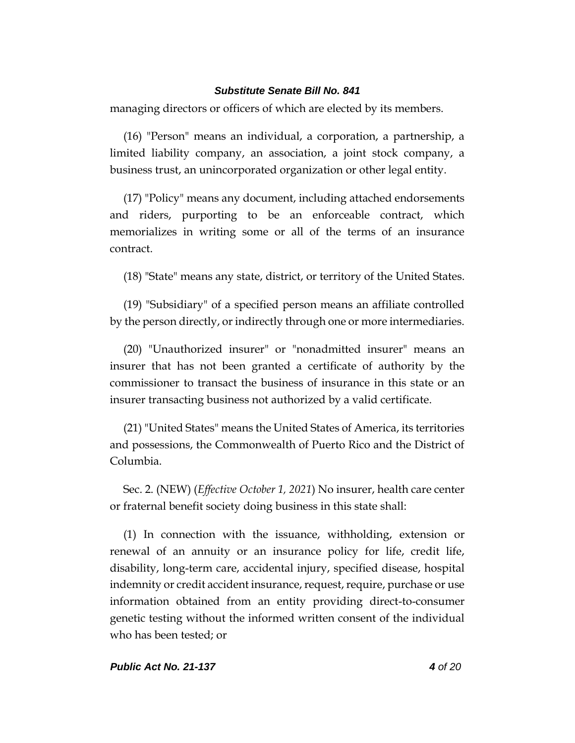managing directors or officers of which are elected by its members.

(16) "Person" means an individual, a corporation, a partnership, a limited liability company, an association, a joint stock company, a business trust, an unincorporated organization or other legal entity.

(17) "Policy" means any document, including attached endorsements and riders, purporting to be an enforceable contract, which memorializes in writing some or all of the terms of an insurance contract.

(18) "State" means any state, district, or territory of the United States.

(19) "Subsidiary" of a specified person means an affiliate controlled by the person directly, or indirectly through one or more intermediaries.

(20) "Unauthorized insurer" or "nonadmitted insurer" means an insurer that has not been granted a certificate of authority by the commissioner to transact the business of insurance in this state or an insurer transacting business not authorized by a valid certificate.

(21) "United States" means the United States of America, its territories and possessions, the Commonwealth of Puerto Rico and the District of Columbia.

Sec. 2. (NEW) (*Effective October 1, 2021*) No insurer, health care center or fraternal benefit society doing business in this state shall:

(1) In connection with the issuance, withholding, extension or renewal of an annuity or an insurance policy for life, credit life, disability, long-term care, accidental injury, specified disease, hospital indemnity or credit accident insurance, request, require, purchase or use information obtained from an entity providing direct-to-consumer genetic testing without the informed written consent of the individual who has been tested; or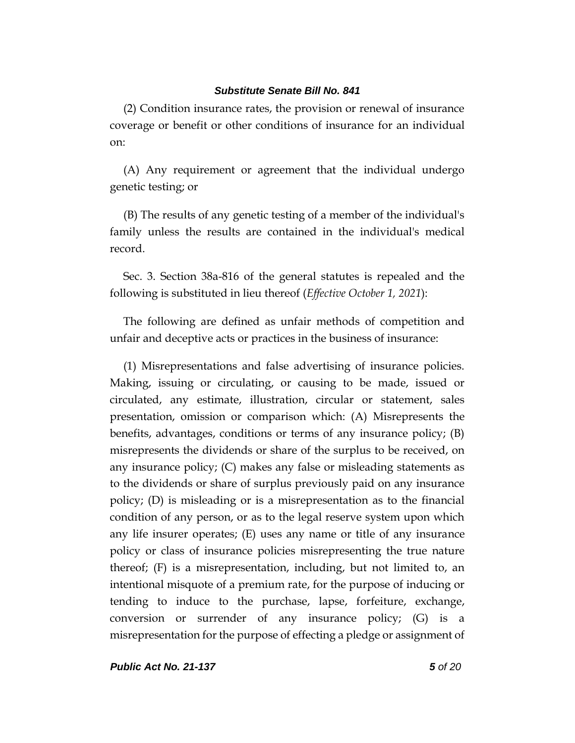(2) Condition insurance rates, the provision or renewal of insurance coverage or benefit or other conditions of insurance for an individual on:

(A) Any requirement or agreement that the individual undergo genetic testing; or

(B) The results of any genetic testing of a member of the individual's family unless the results are contained in the individual's medical record.

Sec. 3. Section 38a-816 of the general statutes is repealed and the following is substituted in lieu thereof (*Effective October 1, 2021*):

The following are defined as unfair methods of competition and unfair and deceptive acts or practices in the business of insurance:

(1) Misrepresentations and false advertising of insurance policies. Making, issuing or circulating, or causing to be made, issued or circulated, any estimate, illustration, circular or statement, sales presentation, omission or comparison which: (A) Misrepresents the benefits, advantages, conditions or terms of any insurance policy; (B) misrepresents the dividends or share of the surplus to be received, on any insurance policy; (C) makes any false or misleading statements as to the dividends or share of surplus previously paid on any insurance policy; (D) is misleading or is a misrepresentation as to the financial condition of any person, or as to the legal reserve system upon which any life insurer operates; (E) uses any name or title of any insurance policy or class of insurance policies misrepresenting the true nature thereof; (F) is a misrepresentation, including, but not limited to, an intentional misquote of a premium rate, for the purpose of inducing or tending to induce to the purchase, lapse, forfeiture, exchange, conversion or surrender of any insurance policy; (G) is a misrepresentation for the purpose of effecting a pledge or assignment of

*Public Act No. 21-137 5 of 20*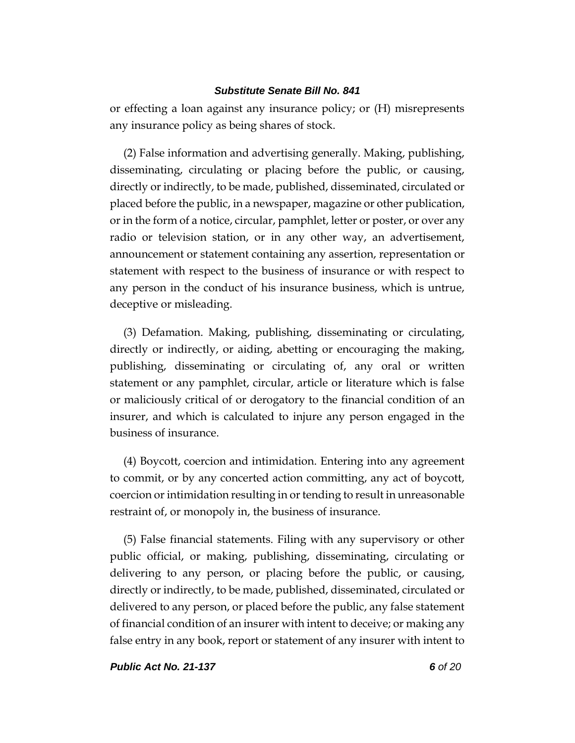or effecting a loan against any insurance policy; or (H) misrepresents any insurance policy as being shares of stock.

(2) False information and advertising generally. Making, publishing, disseminating, circulating or placing before the public, or causing, directly or indirectly, to be made, published, disseminated, circulated or placed before the public, in a newspaper, magazine or other publication, or in the form of a notice, circular, pamphlet, letter or poster, or over any radio or television station, or in any other way, an advertisement, announcement or statement containing any assertion, representation or statement with respect to the business of insurance or with respect to any person in the conduct of his insurance business, which is untrue, deceptive or misleading.

(3) Defamation. Making, publishing, disseminating or circulating, directly or indirectly, or aiding, abetting or encouraging the making, publishing, disseminating or circulating of, any oral or written statement or any pamphlet, circular, article or literature which is false or maliciously critical of or derogatory to the financial condition of an insurer, and which is calculated to injure any person engaged in the business of insurance.

(4) Boycott, coercion and intimidation. Entering into any agreement to commit, or by any concerted action committing, any act of boycott, coercion or intimidation resulting in or tending to result in unreasonable restraint of, or monopoly in, the business of insurance.

(5) False financial statements. Filing with any supervisory or other public official, or making, publishing, disseminating, circulating or delivering to any person, or placing before the public, or causing, directly or indirectly, to be made, published, disseminated, circulated or delivered to any person, or placed before the public, any false statement of financial condition of an insurer with intent to deceive; or making any false entry in any book, report or statement of any insurer with intent to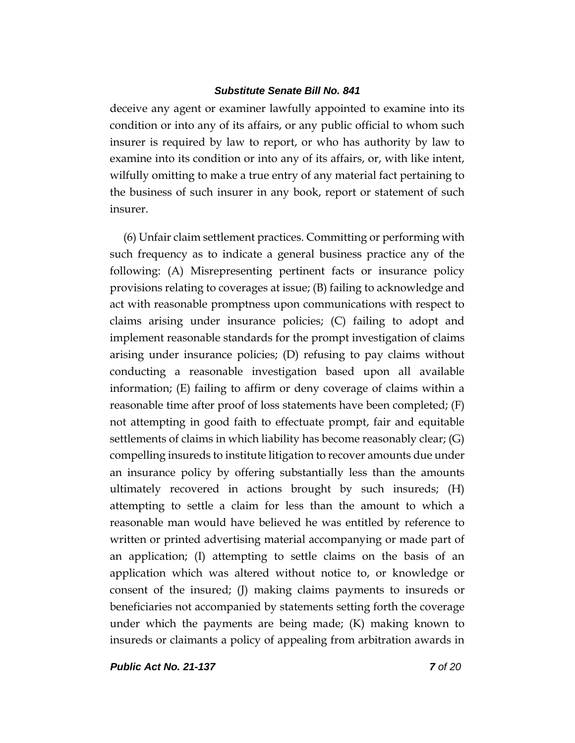deceive any agent or examiner lawfully appointed to examine into its condition or into any of its affairs, or any public official to whom such insurer is required by law to report, or who has authority by law to examine into its condition or into any of its affairs, or, with like intent, wilfully omitting to make a true entry of any material fact pertaining to the business of such insurer in any book, report or statement of such insurer.

(6) Unfair claim settlement practices. Committing or performing with such frequency as to indicate a general business practice any of the following: (A) Misrepresenting pertinent facts or insurance policy provisions relating to coverages at issue; (B) failing to acknowledge and act with reasonable promptness upon communications with respect to claims arising under insurance policies; (C) failing to adopt and implement reasonable standards for the prompt investigation of claims arising under insurance policies; (D) refusing to pay claims without conducting a reasonable investigation based upon all available information; (E) failing to affirm or deny coverage of claims within a reasonable time after proof of loss statements have been completed;  $(F)$ not attempting in good faith to effectuate prompt, fair and equitable settlements of claims in which liability has become reasonably clear; (G) compelling insureds to institute litigation to recover amounts due under an insurance policy by offering substantially less than the amounts ultimately recovered in actions brought by such insureds; (H) attempting to settle a claim for less than the amount to which a reasonable man would have believed he was entitled by reference to written or printed advertising material accompanying or made part of an application; (I) attempting to settle claims on the basis of an application which was altered without notice to, or knowledge or consent of the insured; (J) making claims payments to insureds or beneficiaries not accompanied by statements setting forth the coverage under which the payments are being made; (K) making known to insureds or claimants a policy of appealing from arbitration awards in

*Public Act No. 21-137 7 of 20*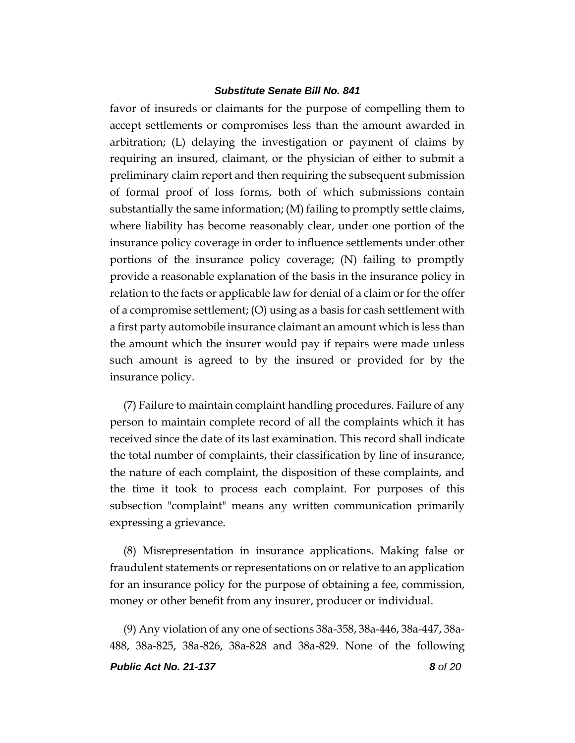favor of insureds or claimants for the purpose of compelling them to accept settlements or compromises less than the amount awarded in arbitration; (L) delaying the investigation or payment of claims by requiring an insured, claimant, or the physician of either to submit a preliminary claim report and then requiring the subsequent submission of formal proof of loss forms, both of which submissions contain substantially the same information; (M) failing to promptly settle claims, where liability has become reasonably clear, under one portion of the insurance policy coverage in order to influence settlements under other portions of the insurance policy coverage; (N) failing to promptly provide a reasonable explanation of the basis in the insurance policy in relation to the facts or applicable law for denial of a claim or for the offer of a compromise settlement; (O) using as a basis for cash settlement with a first party automobile insurance claimant an amount which is less than the amount which the insurer would pay if repairs were made unless such amount is agreed to by the insured or provided for by the insurance policy.

(7) Failure to maintain complaint handling procedures. Failure of any person to maintain complete record of all the complaints which it has received since the date of its last examination. This record shall indicate the total number of complaints, their classification by line of insurance, the nature of each complaint, the disposition of these complaints, and the time it took to process each complaint. For purposes of this subsection "complaint" means any written communication primarily expressing a grievance.

(8) Misrepresentation in insurance applications. Making false or fraudulent statements or representations on or relative to an application for an insurance policy for the purpose of obtaining a fee, commission, money or other benefit from any insurer, producer or individual.

(9) Any violation of any one of sections 38a-358, 38a-446, 38a-447, 38a-488, 38a-825, 38a-826, 38a-828 and 38a-829. None of the following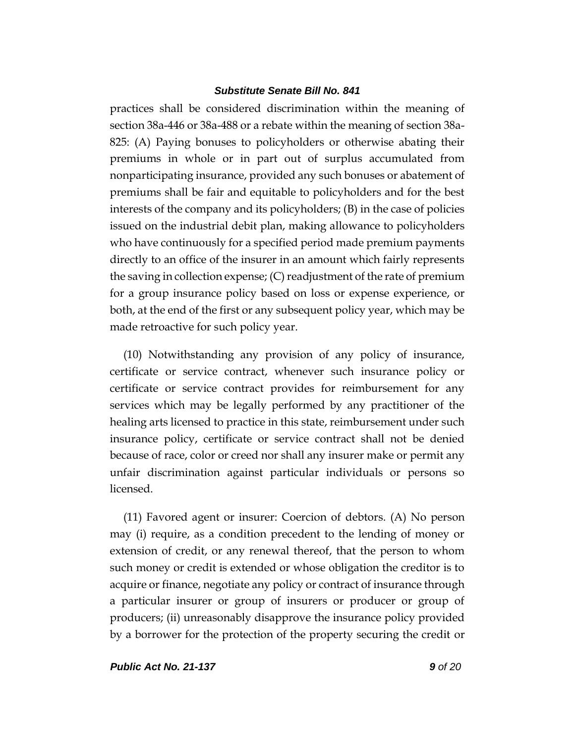practices shall be considered discrimination within the meaning of section 38a-446 or 38a-488 or a rebate within the meaning of section 38a-825: (A) Paying bonuses to policyholders or otherwise abating their premiums in whole or in part out of surplus accumulated from nonparticipating insurance, provided any such bonuses or abatement of premiums shall be fair and equitable to policyholders and for the best interests of the company and its policyholders; (B) in the case of policies issued on the industrial debit plan, making allowance to policyholders who have continuously for a specified period made premium payments directly to an office of the insurer in an amount which fairly represents the saving in collection expense; (C) readjustment of the rate of premium for a group insurance policy based on loss or expense experience, or both, at the end of the first or any subsequent policy year, which may be made retroactive for such policy year.

(10) Notwithstanding any provision of any policy of insurance, certificate or service contract, whenever such insurance policy or certificate or service contract provides for reimbursement for any services which may be legally performed by any practitioner of the healing arts licensed to practice in this state, reimbursement under such insurance policy, certificate or service contract shall not be denied because of race, color or creed nor shall any insurer make or permit any unfair discrimination against particular individuals or persons so licensed.

(11) Favored agent or insurer: Coercion of debtors. (A) No person may (i) require, as a condition precedent to the lending of money or extension of credit, or any renewal thereof, that the person to whom such money or credit is extended or whose obligation the creditor is to acquire or finance, negotiate any policy or contract of insurance through a particular insurer or group of insurers or producer or group of producers; (ii) unreasonably disapprove the insurance policy provided by a borrower for the protection of the property securing the credit or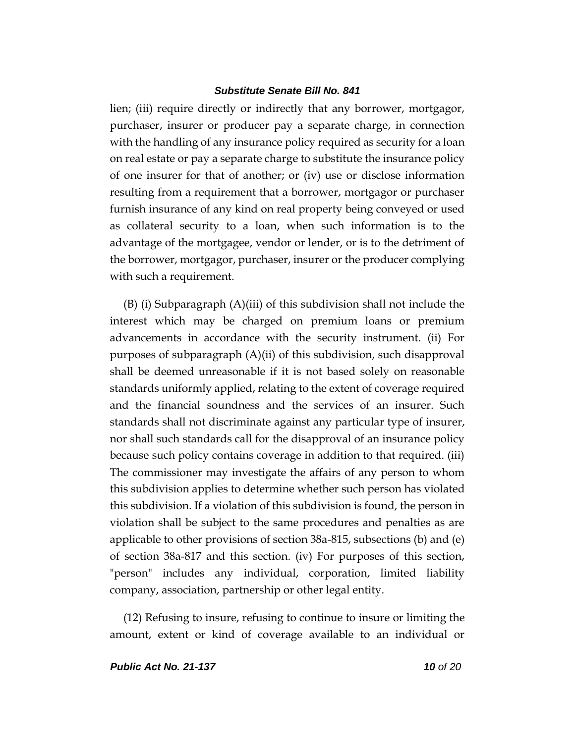lien; (iii) require directly or indirectly that any borrower, mortgagor, purchaser, insurer or producer pay a separate charge, in connection with the handling of any insurance policy required as security for a loan on real estate or pay a separate charge to substitute the insurance policy of one insurer for that of another; or (iv) use or disclose information resulting from a requirement that a borrower, mortgagor or purchaser furnish insurance of any kind on real property being conveyed or used as collateral security to a loan, when such information is to the advantage of the mortgagee, vendor or lender, or is to the detriment of the borrower, mortgagor, purchaser, insurer or the producer complying with such a requirement.

(B) (i) Subparagraph (A)(iii) of this subdivision shall not include the interest which may be charged on premium loans or premium advancements in accordance with the security instrument. (ii) For purposes of subparagraph (A)(ii) of this subdivision, such disapproval shall be deemed unreasonable if it is not based solely on reasonable standards uniformly applied, relating to the extent of coverage required and the financial soundness and the services of an insurer. Such standards shall not discriminate against any particular type of insurer, nor shall such standards call for the disapproval of an insurance policy because such policy contains coverage in addition to that required. (iii) The commissioner may investigate the affairs of any person to whom this subdivision applies to determine whether such person has violated this subdivision. If a violation of this subdivision is found, the person in violation shall be subject to the same procedures and penalties as are applicable to other provisions of section 38a-815, subsections (b) and (e) of section 38a-817 and this section. (iv) For purposes of this section, "person" includes any individual, corporation, limited liability company, association, partnership or other legal entity.

(12) Refusing to insure, refusing to continue to insure or limiting the amount, extent or kind of coverage available to an individual or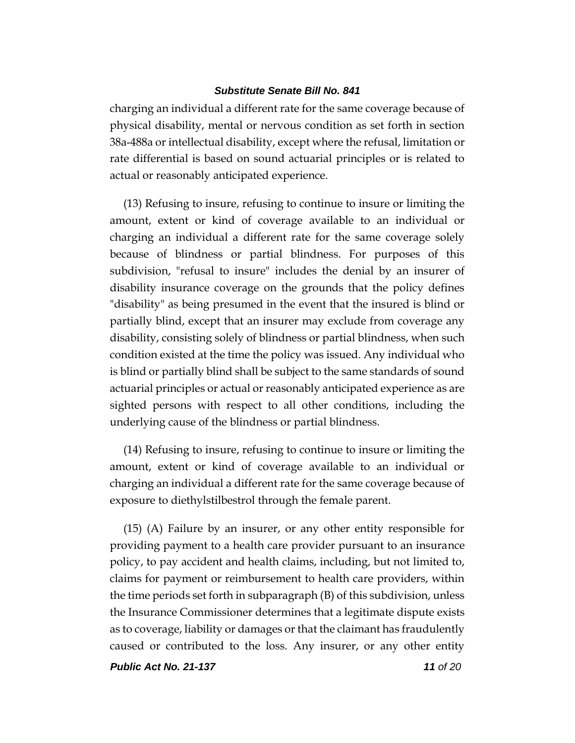charging an individual a different rate for the same coverage because of physical disability, mental or nervous condition as set forth in section 38a-488a or intellectual disability, except where the refusal, limitation or rate differential is based on sound actuarial principles or is related to actual or reasonably anticipated experience.

(13) Refusing to insure, refusing to continue to insure or limiting the amount, extent or kind of coverage available to an individual or charging an individual a different rate for the same coverage solely because of blindness or partial blindness. For purposes of this subdivision, "refusal to insure" includes the denial by an insurer of disability insurance coverage on the grounds that the policy defines "disability" as being presumed in the event that the insured is blind or partially blind, except that an insurer may exclude from coverage any disability, consisting solely of blindness or partial blindness, when such condition existed at the time the policy was issued. Any individual who is blind or partially blind shall be subject to the same standards of sound actuarial principles or actual or reasonably anticipated experience as are sighted persons with respect to all other conditions, including the underlying cause of the blindness or partial blindness.

(14) Refusing to insure, refusing to continue to insure or limiting the amount, extent or kind of coverage available to an individual or charging an individual a different rate for the same coverage because of exposure to diethylstilbestrol through the female parent.

(15) (A) Failure by an insurer, or any other entity responsible for providing payment to a health care provider pursuant to an insurance policy, to pay accident and health claims, including, but not limited to, claims for payment or reimbursement to health care providers, within the time periods set forth in subparagraph (B) of this subdivision, unless the Insurance Commissioner determines that a legitimate dispute exists as to coverage, liability or damages or that the claimant has fraudulently caused or contributed to the loss. Any insurer, or any other entity

*Public Act No. 21-137 11 of 20*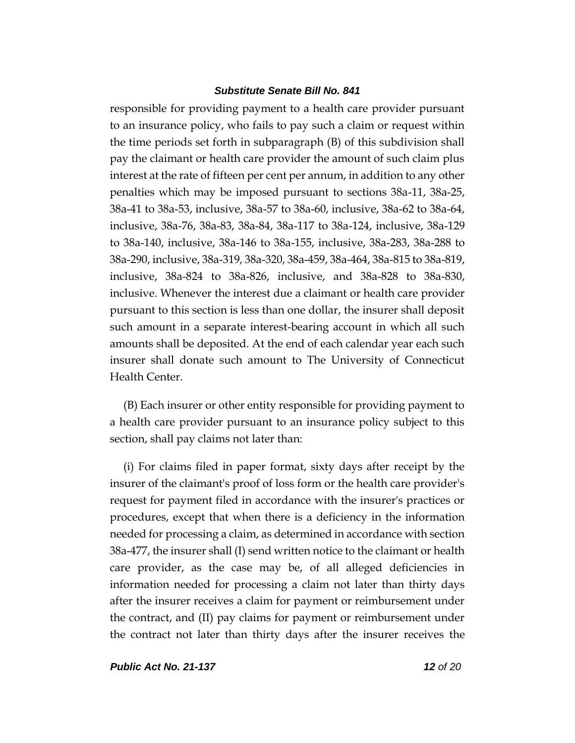responsible for providing payment to a health care provider pursuant to an insurance policy, who fails to pay such a claim or request within the time periods set forth in subparagraph (B) of this subdivision shall pay the claimant or health care provider the amount of such claim plus interest at the rate of fifteen per cent per annum, in addition to any other penalties which may be imposed pursuant to sections 38a-11, 38a-25, 38a-41 to 38a-53, inclusive, 38a-57 to 38a-60, inclusive, 38a-62 to 38a-64, inclusive, 38a-76, 38a-83, 38a-84, 38a-117 to 38a-124, inclusive, 38a-129 to 38a-140, inclusive, 38a-146 to 38a-155, inclusive, 38a-283, 38a-288 to 38a-290, inclusive, 38a-319, 38a-320, 38a-459, 38a-464, 38a-815 to 38a-819, inclusive, 38a-824 to 38a-826, inclusive, and 38a-828 to 38a-830, inclusive. Whenever the interest due a claimant or health care provider pursuant to this section is less than one dollar, the insurer shall deposit such amount in a separate interest-bearing account in which all such amounts shall be deposited. At the end of each calendar year each such insurer shall donate such amount to The University of Connecticut Health Center.

(B) Each insurer or other entity responsible for providing payment to a health care provider pursuant to an insurance policy subject to this section, shall pay claims not later than:

(i) For claims filed in paper format, sixty days after receipt by the insurer of the claimant's proof of loss form or the health care provider's request for payment filed in accordance with the insurer's practices or procedures, except that when there is a deficiency in the information needed for processing a claim, as determined in accordance with section 38a-477, the insurer shall (I) send written notice to the claimant or health care provider, as the case may be, of all alleged deficiencies in information needed for processing a claim not later than thirty days after the insurer receives a claim for payment or reimbursement under the contract, and (II) pay claims for payment or reimbursement under the contract not later than thirty days after the insurer receives the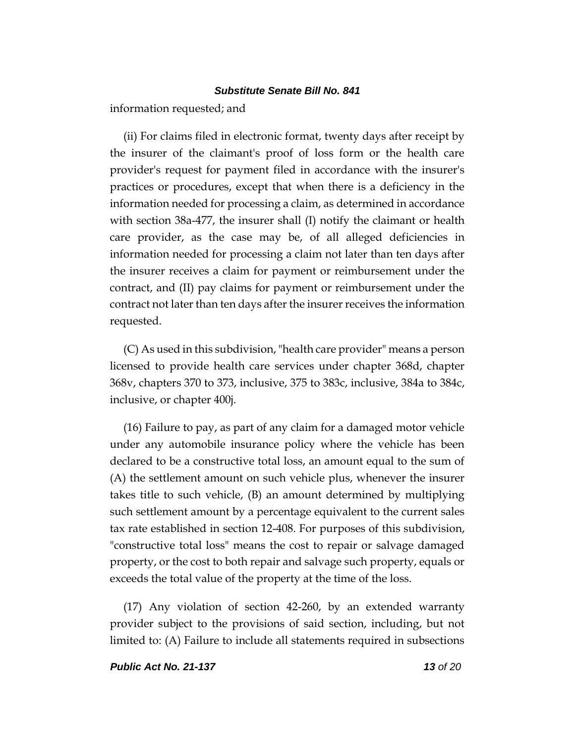information requested; and

(ii) For claims filed in electronic format, twenty days after receipt by the insurer of the claimant's proof of loss form or the health care provider's request for payment filed in accordance with the insurer's practices or procedures, except that when there is a deficiency in the information needed for processing a claim, as determined in accordance with section 38a-477, the insurer shall (I) notify the claimant or health care provider, as the case may be, of all alleged deficiencies in information needed for processing a claim not later than ten days after the insurer receives a claim for payment or reimbursement under the contract, and (II) pay claims for payment or reimbursement under the contract not later than ten days after the insurer receives the information requested.

(C) As used in this subdivision, "health care provider" means a person licensed to provide health care services under chapter 368d, chapter 368v, chapters 370 to 373, inclusive, 375 to 383c, inclusive, 384a to 384c, inclusive, or chapter 400j.

(16) Failure to pay, as part of any claim for a damaged motor vehicle under any automobile insurance policy where the vehicle has been declared to be a constructive total loss, an amount equal to the sum of (A) the settlement amount on such vehicle plus, whenever the insurer takes title to such vehicle, (B) an amount determined by multiplying such settlement amount by a percentage equivalent to the current sales tax rate established in section 12-408. For purposes of this subdivision, "constructive total loss" means the cost to repair or salvage damaged property, or the cost to both repair and salvage such property, equals or exceeds the total value of the property at the time of the loss.

(17) Any violation of section 42-260, by an extended warranty provider subject to the provisions of said section, including, but not limited to: (A) Failure to include all statements required in subsections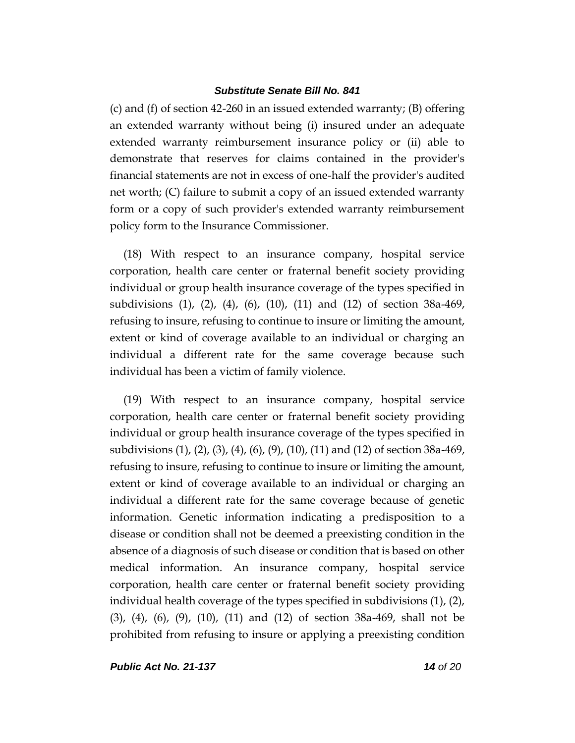(c) and (f) of section 42-260 in an issued extended warranty; (B) offering an extended warranty without being (i) insured under an adequate extended warranty reimbursement insurance policy or (ii) able to demonstrate that reserves for claims contained in the provider's financial statements are not in excess of one-half the provider's audited net worth; (C) failure to submit a copy of an issued extended warranty form or a copy of such provider's extended warranty reimbursement policy form to the Insurance Commissioner.

(18) With respect to an insurance company, hospital service corporation, health care center or fraternal benefit society providing individual or group health insurance coverage of the types specified in subdivisions (1), (2), (4), (6), (10), (11) and (12) of section 38a-469, refusing to insure, refusing to continue to insure or limiting the amount, extent or kind of coverage available to an individual or charging an individual a different rate for the same coverage because such individual has been a victim of family violence.

(19) With respect to an insurance company, hospital service corporation, health care center or fraternal benefit society providing individual or group health insurance coverage of the types specified in subdivisions (1), (2), (3), (4), (6), (9), (10), (11) and (12) of section 38a-469, refusing to insure, refusing to continue to insure or limiting the amount, extent or kind of coverage available to an individual or charging an individual a different rate for the same coverage because of genetic information. Genetic information indicating a predisposition to a disease or condition shall not be deemed a preexisting condition in the absence of a diagnosis of such disease or condition that is based on other medical information. An insurance company, hospital service corporation, health care center or fraternal benefit society providing individual health coverage of the types specified in subdivisions (1), (2), (3), (4), (6), (9), (10), (11) and (12) of section 38a-469, shall not be prohibited from refusing to insure or applying a preexisting condition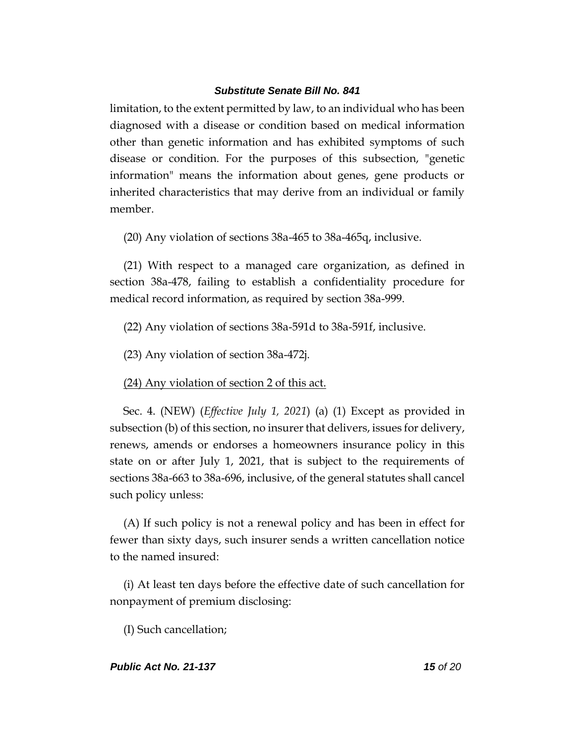limitation, to the extent permitted by law, to an individual who has been diagnosed with a disease or condition based on medical information other than genetic information and has exhibited symptoms of such disease or condition. For the purposes of this subsection, "genetic information" means the information about genes, gene products or inherited characteristics that may derive from an individual or family member.

(20) Any violation of sections 38a-465 to 38a-465q, inclusive.

(21) With respect to a managed care organization, as defined in section 38a-478, failing to establish a confidentiality procedure for medical record information, as required by section 38a-999.

(22) Any violation of sections 38a-591d to 38a-591f, inclusive.

(23) Any violation of section 38a-472j.

(24) Any violation of section 2 of this act.

Sec. 4. (NEW) (*Effective July 1, 2021*) (a) (1) Except as provided in subsection (b) of this section, no insurer that delivers, issues for delivery, renews, amends or endorses a homeowners insurance policy in this state on or after July 1, 2021, that is subject to the requirements of sections 38a-663 to 38a-696, inclusive, of the general statutes shall cancel such policy unless:

(A) If such policy is not a renewal policy and has been in effect for fewer than sixty days, such insurer sends a written cancellation notice to the named insured:

(i) At least ten days before the effective date of such cancellation for nonpayment of premium disclosing:

(I) Such cancellation;

# *Public Act No. 21-137 15 of 20*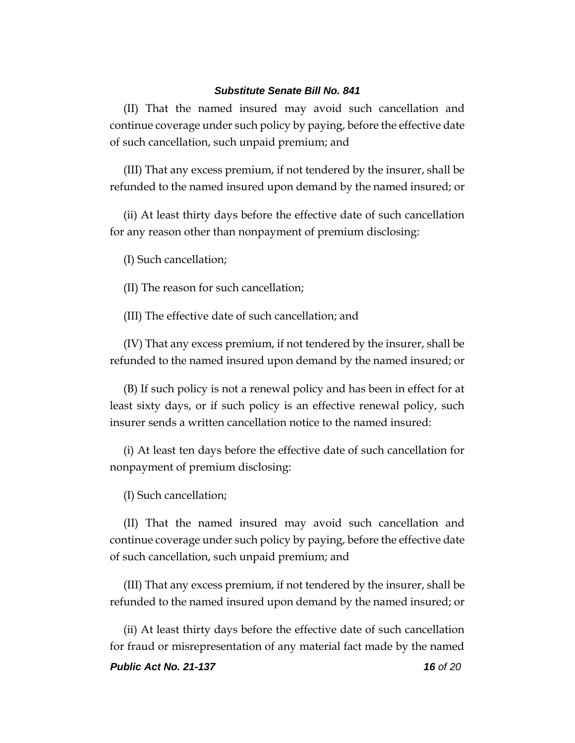(II) That the named insured may avoid such cancellation and continue coverage under such policy by paying, before the effective date of such cancellation, such unpaid premium; and

(III) That any excess premium, if not tendered by the insurer, shall be refunded to the named insured upon demand by the named insured; or

(ii) At least thirty days before the effective date of such cancellation for any reason other than nonpayment of premium disclosing:

(I) Such cancellation;

(II) The reason for such cancellation;

(III) The effective date of such cancellation; and

(IV) That any excess premium, if not tendered by the insurer, shall be refunded to the named insured upon demand by the named insured; or

(B) If such policy is not a renewal policy and has been in effect for at least sixty days, or if such policy is an effective renewal policy, such insurer sends a written cancellation notice to the named insured:

(i) At least ten days before the effective date of such cancellation for nonpayment of premium disclosing:

(I) Such cancellation;

(II) That the named insured may avoid such cancellation and continue coverage under such policy by paying, before the effective date of such cancellation, such unpaid premium; and

(III) That any excess premium, if not tendered by the insurer, shall be refunded to the named insured upon demand by the named insured; or

(ii) At least thirty days before the effective date of such cancellation for fraud or misrepresentation of any material fact made by the named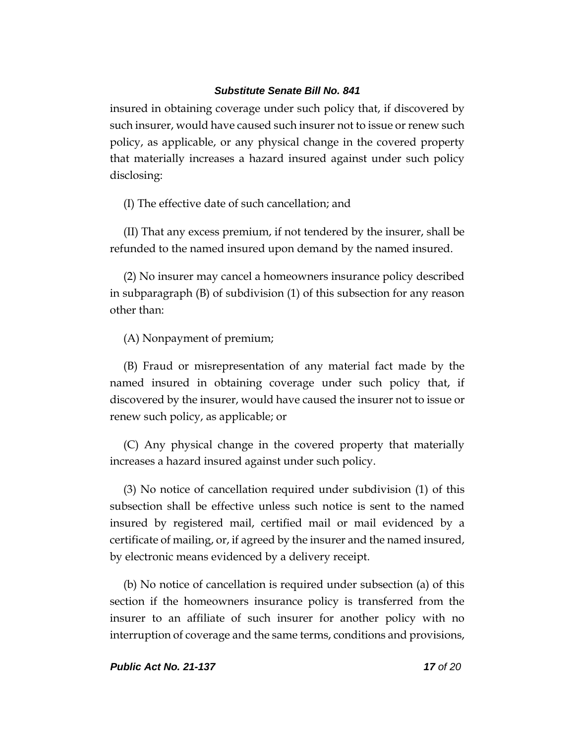insured in obtaining coverage under such policy that, if discovered by such insurer, would have caused such insurer not to issue or renew such policy, as applicable, or any physical change in the covered property that materially increases a hazard insured against under such policy disclosing:

(I) The effective date of such cancellation; and

(II) That any excess premium, if not tendered by the insurer, shall be refunded to the named insured upon demand by the named insured.

(2) No insurer may cancel a homeowners insurance policy described in subparagraph (B) of subdivision (1) of this subsection for any reason other than:

(A) Nonpayment of premium;

(B) Fraud or misrepresentation of any material fact made by the named insured in obtaining coverage under such policy that, if discovered by the insurer, would have caused the insurer not to issue or renew such policy, as applicable; or

(C) Any physical change in the covered property that materially increases a hazard insured against under such policy.

(3) No notice of cancellation required under subdivision (1) of this subsection shall be effective unless such notice is sent to the named insured by registered mail, certified mail or mail evidenced by a certificate of mailing, or, if agreed by the insurer and the named insured, by electronic means evidenced by a delivery receipt.

(b) No notice of cancellation is required under subsection (a) of this section if the homeowners insurance policy is transferred from the insurer to an affiliate of such insurer for another policy with no interruption of coverage and the same terms, conditions and provisions,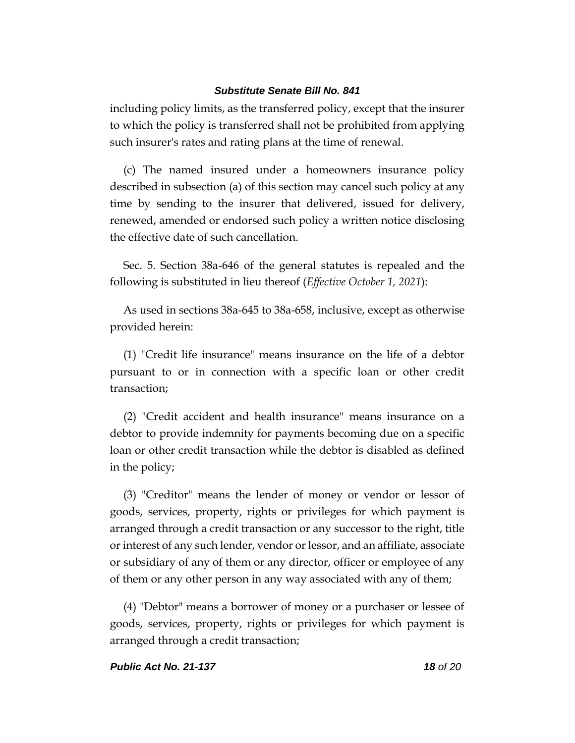including policy limits, as the transferred policy, except that the insurer to which the policy is transferred shall not be prohibited from applying such insurer's rates and rating plans at the time of renewal.

(c) The named insured under a homeowners insurance policy described in subsection (a) of this section may cancel such policy at any time by sending to the insurer that delivered, issued for delivery, renewed, amended or endorsed such policy a written notice disclosing the effective date of such cancellation.

Sec. 5. Section 38a-646 of the general statutes is repealed and the following is substituted in lieu thereof (*Effective October 1, 2021*):

As used in sections 38a-645 to 38a-658, inclusive, except as otherwise provided herein:

(1) "Credit life insurance" means insurance on the life of a debtor pursuant to or in connection with a specific loan or other credit transaction;

(2) "Credit accident and health insurance" means insurance on a debtor to provide indemnity for payments becoming due on a specific loan or other credit transaction while the debtor is disabled as defined in the policy;

(3) "Creditor" means the lender of money or vendor or lessor of goods, services, property, rights or privileges for which payment is arranged through a credit transaction or any successor to the right, title or interest of any such lender, vendor or lessor, and an affiliate, associate or subsidiary of any of them or any director, officer or employee of any of them or any other person in any way associated with any of them;

(4) "Debtor" means a borrower of money or a purchaser or lessee of goods, services, property, rights or privileges for which payment is arranged through a credit transaction;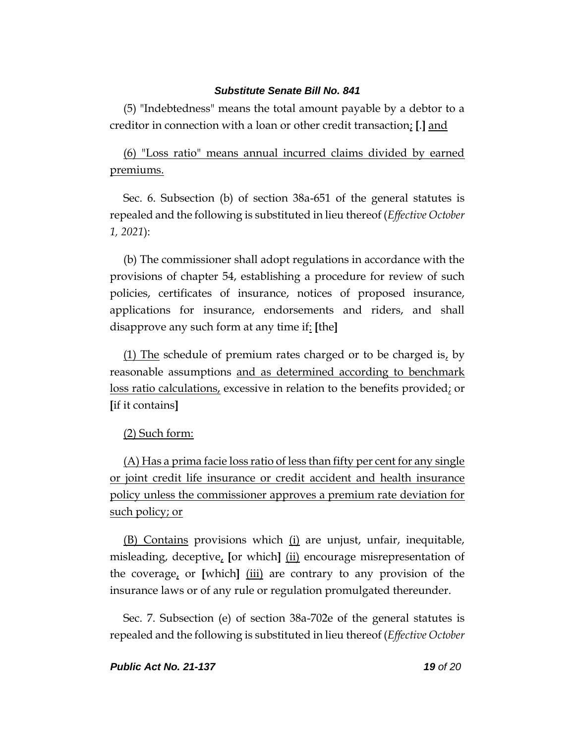(5) "Indebtedness" means the total amount payable by a debtor to a creditor in connection with a loan or other credit transaction; **[**.**]** and

(6) "Loss ratio" means annual incurred claims divided by earned premiums.

Sec. 6. Subsection (b) of section 38a-651 of the general statutes is repealed and the following is substituted in lieu thereof (*Effective October 1, 2021*):

(b) The commissioner shall adopt regulations in accordance with the provisions of chapter 54, establishing a procedure for review of such policies, certificates of insurance, notices of proposed insurance, applications for insurance, endorsements and riders, and shall disapprove any such form at any time if: **[**the**]**

 $(1)$  The schedule of premium rates charged or to be charged is, by reasonable assumptions and as determined according to benchmark loss ratio calculations, excessive in relation to the benefits provided; or **[**if it contains**]**

# (2) Such form:

(A) Has a prima facie loss ratio of less than fifty per cent for any single or joint credit life insurance or credit accident and health insurance policy unless the commissioner approves a premium rate deviation for such policy; or

(B) Contains provisions which (i) are unjust, unfair, inequitable, misleading, deceptive, **[**or which**]** (ii) encourage misrepresentation of the coverage, or **[**which**]** (iii) are contrary to any provision of the insurance laws or of any rule or regulation promulgated thereunder.

Sec. 7. Subsection (e) of section 38a-702e of the general statutes is repealed and the following is substituted in lieu thereof (*Effective October*